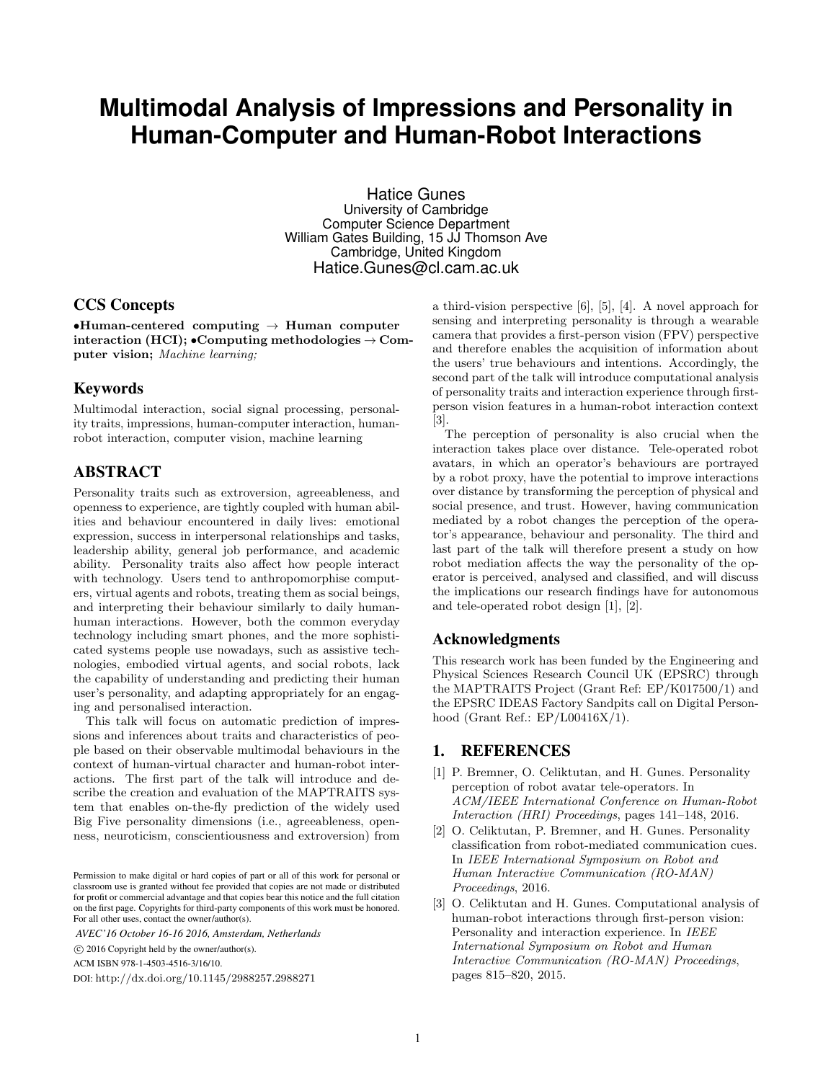# **Multimodal Analysis of Impressions and Personality in Human-Computer and Human-Robot Interactions**

Hatice Gunes University of Cambridge Computer Science Department William Gates Building, 15 JJ Thomson Ave Cambridge, United Kingdom Hatice.Gunes@cl.cam.ac.uk

### CCS Concepts

•Human-centered computing  $\rightarrow$  Human computer interaction (HCI);  $\bullet$ Computing methodologies  $\rightarrow$  Computer vision; Machine learning;

## Keywords

Multimodal interaction, social signal processing, personality traits, impressions, human-computer interaction, humanrobot interaction, computer vision, machine learning

## ABSTRACT

Personality traits such as extroversion, agreeableness, and openness to experience, are tightly coupled with human abilities and behaviour encountered in daily lives: emotional expression, success in interpersonal relationships and tasks, leadership ability, general job performance, and academic ability. Personality traits also affect how people interact with technology. Users tend to anthropomorphise computers, virtual agents and robots, treating them as social beings, and interpreting their behaviour similarly to daily humanhuman interactions. However, both the common everyday technology including smart phones, and the more sophisticated systems people use nowadays, such as assistive technologies, embodied virtual agents, and social robots, lack the capability of understanding and predicting their human user's personality, and adapting appropriately for an engaging and personalised interaction.

This talk will focus on automatic prediction of impressions and inferences about traits and characteristics of people based on their observable multimodal behaviours in the context of human-virtual character and human-robot interactions. The first part of the talk will introduce and describe the creation and evaluation of the MAPTRAITS system that enables on-the-fly prediction of the widely used Big Five personality dimensions (i.e., agreeableness, openness, neuroticism, conscientiousness and extroversion) from

*AVEC'16 October 16-16 2016, Amsterdam, Netherlands*

c 2016 Copyright held by the owner/author(s).

ACM ISBN 978-1-4503-4516-3/16/10.

DOI: http://dx.doi.org/10.1145/2988257.2988271

a third-vision perspective [6], [5], [4]. A novel approach for sensing and interpreting personality is through a wearable camera that provides a first-person vision (FPV) perspective and therefore enables the acquisition of information about the users' true behaviours and intentions. Accordingly, the second part of the talk will introduce computational analysis of personality traits and interaction experience through firstperson vision features in a human-robot interaction context [3].

The perception of personality is also crucial when the interaction takes place over distance. Tele-operated robot avatars, in which an operator's behaviours are portrayed by a robot proxy, have the potential to improve interactions over distance by transforming the perception of physical and social presence, and trust. However, having communication mediated by a robot changes the perception of the operator's appearance, behaviour and personality. The third and last part of the talk will therefore present a study on how robot mediation affects the way the personality of the operator is perceived, analysed and classified, and will discuss the implications our research findings have for autonomous and tele-operated robot design [1], [2].

## Acknowledgments

This research work has been funded by the Engineering and Physical Sciences Research Council UK (EPSRC) through the MAPTRAITS Project (Grant Ref: EP/K017500/1) and the EPSRC IDEAS Factory Sandpits call on Digital Personhood (Grant Ref.: EP/L00416X/1).

### 1. REFERENCES

- [1] P. Bremner, O. Celiktutan, and H. Gunes. Personality perception of robot avatar tele-operators. In ACM/IEEE International Conference on Human-Robot Interaction (HRI) Proceedings, pages 141–148, 2016.
- [2] O. Celiktutan, P. Bremner, and H. Gunes. Personality classification from robot-mediated communication cues. In IEEE International Symposium on Robot and Human Interactive Communication (RO-MAN) Proceedings, 2016.
- [3] O. Celiktutan and H. Gunes. Computational analysis of human-robot interactions through first-person vision: Personality and interaction experience. In IEEE International Symposium on Robot and Human Interactive Communication (RO-MAN) Proceedings, pages 815–820, 2015.

Permission to make digital or hard copies of part or all of this work for personal or classroom use is granted without fee provided that copies are not made or distributed for profit or commercial advantage and that copies bear this notice and the full citation on the first page. Copyrights for third-party components of this work must be honored. For all other uses, contact the owner/author(s).